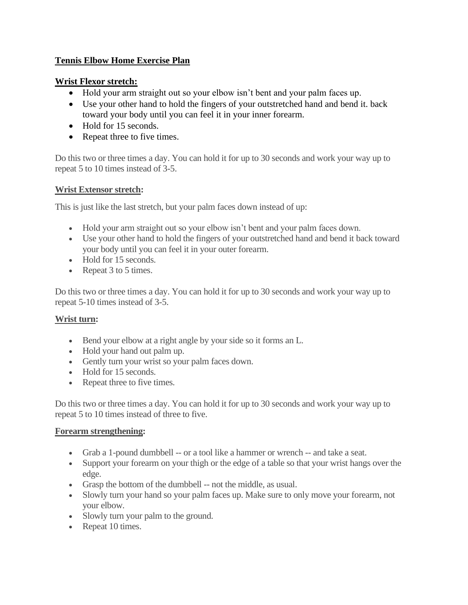# **Tennis Elbow Home Exercise Plan**

### **Wrist Flexor stretch:**

- Hold your arm straight out so your elbow isn't bent and your palm faces up.
- Use your other hand to hold the fingers of your outstretched hand and bend it. back toward your body until you can feel it in your inner forearm.
- Hold for 15 seconds.
- Repeat three to five times.

Do this two or three times a day. You can hold it for up to 30 seconds and work your way up to repeat 5 to 10 times instead of 3-5.

### **Wrist Extensor stretch:**

This is just like the last stretch, but your palm faces down instead of up:

- Hold your arm straight out so your elbow isn't bent and your palm faces down.
- Use your other hand to hold the fingers of your outstretched hand and bend it back toward your body until you can feel it in your outer forearm.
- Hold for 15 seconds.
- Repeat 3 to 5 times.

Do this two or three times a day. You can hold it for up to 30 seconds and work your way up to repeat 5-10 times instead of 3-5.

### **Wrist turn:**

- Bend your elbow at a right angle by your side so it forms an L.
- Hold your hand out palm up.
- Gently turn your wrist so your palm faces down.
- Hold for 15 seconds.
- Repeat three to five times.

Do this two or three times a day. You can hold it for up to 30 seconds and work your way up to repeat 5 to 10 times instead of three to five.

#### **Forearm strengthening:**

- Grab a 1-pound dumbbell -- or a tool like a hammer or wrench -- and take a seat.
- Support your forearm on your thigh or the edge of a table so that your wrist hangs over the edge.
- Grasp the bottom of the dumbbell -- not the middle, as usual.
- Slowly turn your hand so your palm faces up. Make sure to only move your forearm, not your elbow.
- Slowly turn your palm to the ground.
- Repeat 10 times.